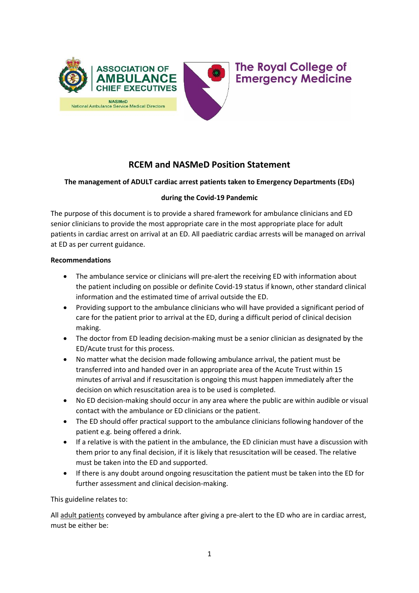



# **The Royal College of Emergency Medicine**

## **RCEM and NASMeD Position Statement**

## **The management of ADULT cardiac arrest patients taken to Emergency Departments (EDs)**

## **during the Covid-19 Pandemic**

The purpose of this document is to provide a shared framework for ambulance clinicians and ED senior clinicians to provide the most appropriate care in the most appropriate place for adult patients in cardiac arrest on arrival at an ED. All paediatric cardiac arrests will be managed on arrival at ED as per current guidance.

#### **Recommendations**

- The ambulance service or clinicians will pre-alert the receiving ED with information about the patient including on possible or definite Covid-19 status if known, other standard clinical information and the estimated time of arrival outside the ED.
- Providing support to the ambulance clinicians who will have provided a significant period of care for the patient prior to arrival at the ED, during a difficult period of clinical decision making.
- The doctor from ED leading decision-making must be a senior clinician as designated by the ED/Acute trust for this process.
- No matter what the decision made following ambulance arrival, the patient must be transferred into and handed over in an appropriate area of the Acute Trust within 15 minutes of arrival and if resuscitation is ongoing this must happen immediately after the decision on which resuscitation area is to be used is completed.
- No ED decision-making should occur in any area where the public are within audible or visual contact with the ambulance or ED clinicians or the patient.
- The ED should offer practical support to the ambulance clinicians following handover of the patient e.g. being offered a drink.
- If a relative is with the patient in the ambulance, the ED clinician must have a discussion with them prior to any final decision, if it is likely that resuscitation will be ceased. The relative must be taken into the ED and supported.
- If there is any doubt around ongoing resuscitation the patient must be taken into the ED for further assessment and clinical decision-making.

This guideline relates to:

All adult patients conveyed by ambulance after giving a pre-alert to the ED who are in cardiac arrest, must be either be: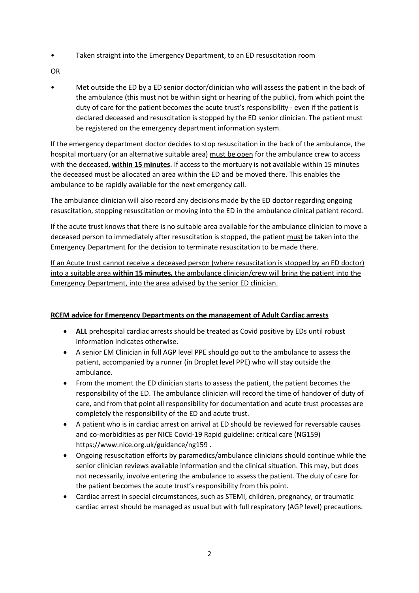- Taken straight into the Emergency Department, to an ED resuscitation room
- OR
- Met outside the ED by a ED senior doctor/clinician who will assess the patient in the back of the ambulance (this must not be within sight or hearing of the public), from which point the duty of care for the patient becomes the acute trust's responsibility - even if the patient is declared deceased and resuscitation is stopped by the ED senior clinician. The patient must be registered on the emergency department information system.

If the emergency department doctor decides to stop resuscitation in the back of the ambulance, the hospital mortuary (or an alternative suitable area) must be open for the ambulance crew to access with the deceased, **within 15 minutes**. If access to the mortuary is not available within 15 minutes the deceased must be allocated an area within the ED and be moved there. This enables the ambulance to be rapidly available for the next emergency call.

The ambulance clinician will also record any decisions made by the ED doctor regarding ongoing resuscitation, stopping resuscitation or moving into the ED in the ambulance clinical patient record.

If the acute trust knows that there is no suitable area available for the ambulance clinician to move a deceased person to immediately after resuscitation is stopped, the patient must be taken into the Emergency Department for the decision to terminate resuscitation to be made there.

If an Acute trust cannot receive a deceased person (where resuscitation is stopped by an ED doctor) into a suitable area **within 15 minutes,** the ambulance clinician/crew will bring the patient into the Emergency Department, into the area advised by the senior ED clinician.

#### **RCEM advice for Emergency Departments on the management of Adult Cardiac arrests**

- **ALL** prehospital cardiac arrests should be treated as Covid positive by EDs until robust information indicates otherwise.
- A senior EM Clinician in full AGP level PPE should go out to the ambulance to assess the patient, accompanied by a runner (in Droplet level PPE) who will stay outside the ambulance.
- From the moment the ED clinician starts to assess the patient, the patient becomes the responsibility of the ED. The ambulance clinician will record the time of handover of duty of care, and from that point all responsibility for documentation and acute trust processes are completely the responsibility of the ED and acute trust.
- A patient who is in cardiac arrest on arrival at ED should be reviewed for reversable causes and co-morbidities as per NICE Covid-19 Rapid guideline: critical care (NG159) https://www.nice.org.uk/guidance/ng159 .
- Ongoing resuscitation efforts by paramedics/ambulance clinicians should continue while the senior clinician reviews available information and the clinical situation. This may, but does not necessarily, involve entering the ambulance to assess the patient. The duty of care for the patient becomes the acute trust's responsibility from this point.
- Cardiac arrest in special circumstances, such as STEMI, children, pregnancy, or traumatic cardiac arrest should be managed as usual but with full respiratory (AGP level) precautions.